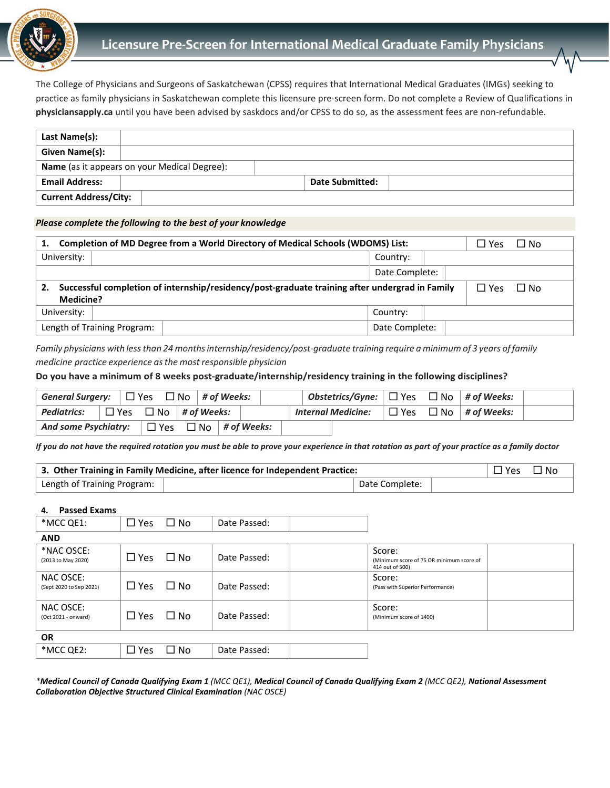

# **Licensure Pre-Screen for International Medical Graduate Family Physicians**

The College of Physicians and Surgeons of Saskatchewan (CPSS) requires that International Medical Graduates (IMGs) seeking to practice as family physicians in Saskatchewan complete this licensure pre-screen form. Do not complete a Review of Qualifications in **physiciansapply.ca** until you have been advised by saskdocs and/or CPSS to do so, as the assessment fees are non-refundable.

| Last Name(s):                                |  |                 |  |
|----------------------------------------------|--|-----------------|--|
| Given Name(s):                               |  |                 |  |
| Name (as it appears on your Medical Degree): |  |                 |  |
| <b>Email Address:</b>                        |  | Date Submitted: |  |
| <b>Current Address/City:</b>                 |  |                 |  |

#### *Please complete the following to the best of your knowledge*

| Completion of MD Degree from a World Directory of Medical Schools (WDOMS) List:<br>1. | $\Box$ No<br>口 Yes                                                                                                        |                |  |  |  |  |
|---------------------------------------------------------------------------------------|---------------------------------------------------------------------------------------------------------------------------|----------------|--|--|--|--|
| University:                                                                           |                                                                                                                           | Country:       |  |  |  |  |
|                                                                                       |                                                                                                                           | Date Complete: |  |  |  |  |
| 2.                                                                                    | Successful completion of internship/residency/post-graduate training after undergrad in Family<br>$\Box$ No<br>$\Box$ Yes |                |  |  |  |  |
| <b>Medicine?</b>                                                                      |                                                                                                                           |                |  |  |  |  |
| University:                                                                           |                                                                                                                           | Country:       |  |  |  |  |
| Length of Training Program:                                                           | Date Complete:                                                                                                            |                |  |  |  |  |

*Family physicians with lessthan 24 monthsinternship/residency/post-graduate training require a minimum of 3 years of family medicine practice experience asthe most responsible physician*

# **Do you have a minimum of 8 weeks post-graduate/internship/residency training in the following disciplines?**

| General Surgery: $\Box$ Yes $\Box$ No $\#$ of Weeks:     |  |  |                                    |  |                    |  | Obstetrics/Gyne: $\Box$ Yes $\Box$ No   # of Weeks: |  |
|----------------------------------------------------------|--|--|------------------------------------|--|--------------------|--|-----------------------------------------------------|--|
| <b>Pediatrics:</b>                                       |  |  | $\Box$ Yes $\Box$ No   # of Weeks: |  | Internal Medicine: |  | $\Box$ Yes $\Box$ No $\vert$ # of Weeks:            |  |
| And some Psychiatry: $\Box$ Yes $\Box$ No $\#$ of Weeks: |  |  |                                    |  |                    |  |                                                     |  |

*If you do not have the required rotation you must be able to prove your experience in that rotation as part of your practice as a family doctor*

| 3. Other Training in Family Medicine, after licence for Independent Practice: |  |                |  |  | $\Box$ Yes $\Box$ No |
|-------------------------------------------------------------------------------|--|----------------|--|--|----------------------|
| $\vert$ Length of Training Program: $\vert$                                   |  | Date Complete: |  |  |                      |

### **4. Passed Exams**

| *MCC QE1:                            | $\square$ Yes | $\square$ No | Date Passed: |                                                                       |  |
|--------------------------------------|---------------|--------------|--------------|-----------------------------------------------------------------------|--|
| <b>AND</b>                           |               |              |              |                                                                       |  |
| *NAC OSCE:<br>(2013 to May 2020)     | $\Box$ Yes    | $\square$ No | Date Passed: | Score:<br>(Minimum score of 75 OR minimum score of<br>414 out of 500) |  |
| NAC OSCE:<br>(Sept 2020 to Sep 2021) | $\Box$ Yes    | $\square$ No | Date Passed: | Score:<br>(Pass with Superior Performance)                            |  |
| NAC OSCE:<br>(Oct 2021 - onward)     | $\square$ Yes | $\Box$ No    | Date Passed: | Score:<br>(Minimum score of 1400)                                     |  |
| <b>OR</b>                            |               |              |              |                                                                       |  |
| *MCC QE2:                            | $\square$ Yes | □ No         | Date Passed: |                                                                       |  |

*\*Medical Council of Canada Qualifying Exam 1 (MCC QE1), Medical Council of Canada Qualifying Exam 2 (MCC QE2), National Assessment Collaboration Objective Structured Clinical Examination (NAC OSCE)*